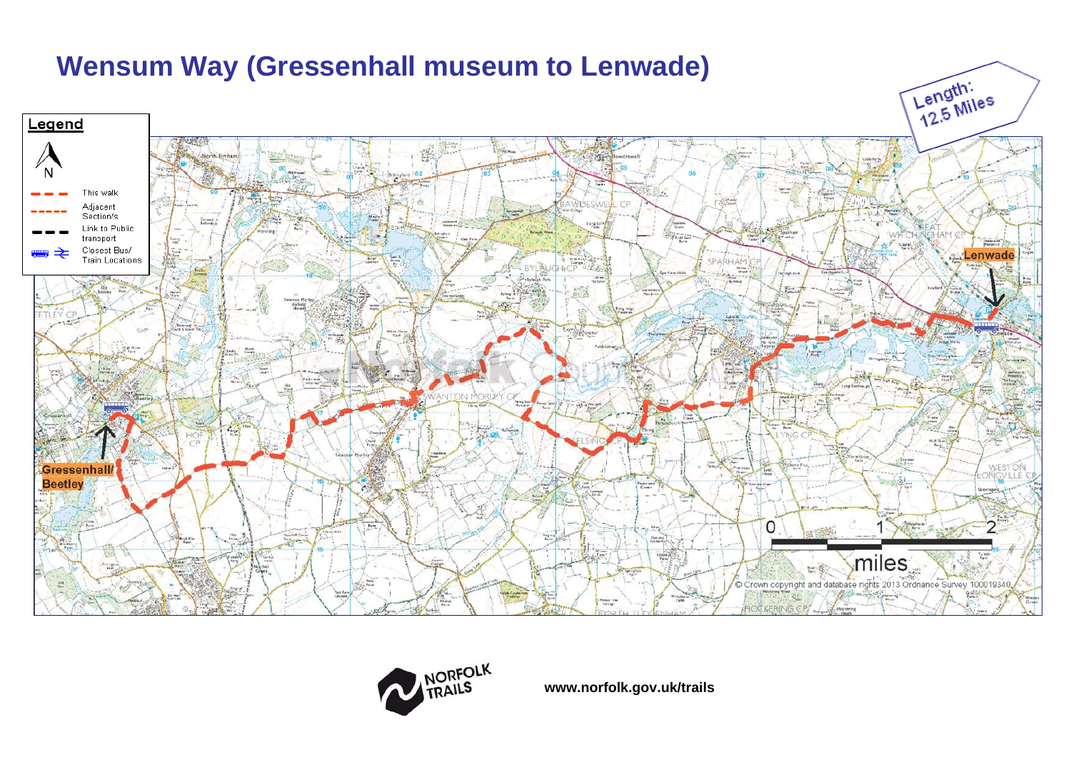



**www.norfolk.gov.uk/trails**